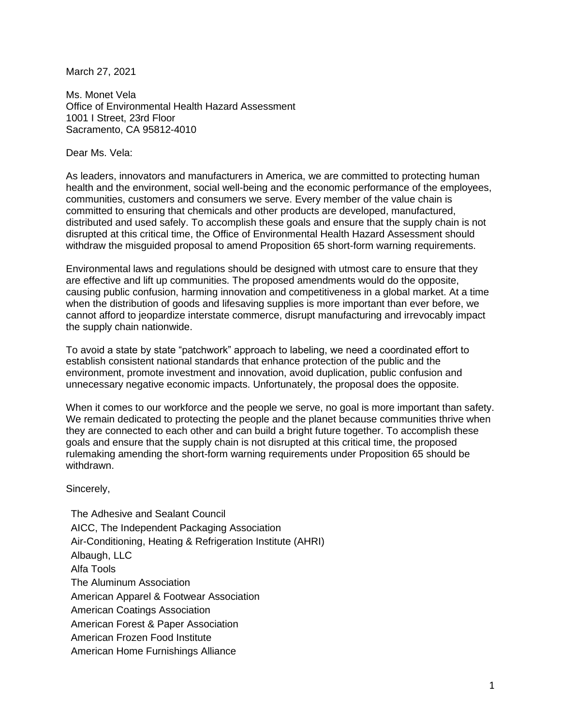March 27, 2021

Ms. Monet Vela Office of Environmental Health Hazard Assessment 1001 I Street, 23rd Floor Sacramento, CA 95812-4010

Dear Ms. Vela:

As leaders, innovators and manufacturers in America, we are committed to protecting human health and the environment, social well-being and the economic performance of the employees, communities, customers and consumers we serve. Every member of the value chain is committed to ensuring that chemicals and other products are developed, manufactured, distributed and used safely. To accomplish these goals and ensure that the supply chain is not disrupted at this critical time, the Office of Environmental Health Hazard Assessment should withdraw the misguided proposal to amend Proposition 65 short-form warning requirements.

Environmental laws and regulations should be designed with utmost care to ensure that they are effective and lift up communities. The proposed amendments would do the opposite, causing public confusion, harming innovation and competitiveness in a global market. At a time when the distribution of goods and lifesaving supplies is more important than ever before, we cannot afford to jeopardize interstate commerce, disrupt manufacturing and irrevocably impact the supply chain nationwide.

To avoid a state by state "patchwork" approach to labeling, we need a coordinated effort to establish consistent national standards that enhance protection of the public and the environment, promote investment and innovation, avoid duplication, public confusion and unnecessary negative economic impacts. Unfortunately, the proposal does the opposite.

When it comes to our workforce and the people we serve, no goal is more important than safety. We remain dedicated to protecting the people and the planet because communities thrive when they are connected to each other and can build a bright future together. To accomplish these goals and ensure that the supply chain is not disrupted at this critical time, the proposed rulemaking amending the short-form warning requirements under Proposition 65 should be withdrawn.

Sincerely,

The Adhesive and Sealant Council AICC, The Independent Packaging Association Air-Conditioning, Heating & Refrigeration Institute (AHRI) Albaugh, LLC Alfa Tools The Aluminum Association American Apparel & Footwear Association American Coatings Association American Forest & Paper Association American Frozen Food Institute American Home Furnishings Alliance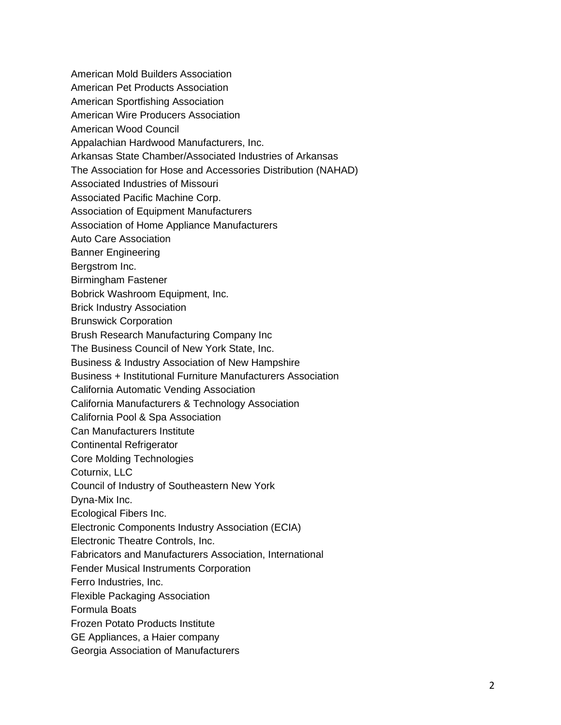- American Mold Builders Association
- American Pet Products Association
- American Sportfishing Association
- American Wire Producers Association
- American Wood Council
- Appalachian Hardwood Manufacturers, Inc.
- Arkansas State Chamber/Associated Industries of Arkansas
- The Association for Hose and Accessories Distribution (NAHAD)
- Associated Industries of Missouri
- Associated Pacific Machine Corp.
- Association of Equipment Manufacturers
- Association of Home Appliance Manufacturers
- Auto Care Association
- Banner Engineering
- Bergstrom Inc.
- Birmingham Fastener
- Bobrick Washroom Equipment, Inc.
- Brick Industry Association
- Brunswick Corporation
- Brush Research Manufacturing Company Inc
- The Business Council of New York State, Inc.
- Business & Industry Association of New Hampshire
- Business + Institutional Furniture Manufacturers Association
- California Automatic Vending Association
- California Manufacturers & Technology Association
- California Pool & Spa Association
- Can Manufacturers Institute
- Continental Refrigerator
- Core Molding Technologies
- Coturnix, LLC
- Council of Industry of Southeastern New York
- Dyna-Mix Inc.
- Ecological Fibers Inc.
- Electronic Components Industry Association (ECIA)
- Electronic Theatre Controls, Inc.
- Fabricators and Manufacturers Association, International
- Fender Musical Instruments Corporation
- Ferro Industries, Inc.
- Flexible Packaging Association
- Formula Boats
- Frozen Potato Products Institute
- GE Appliances, a Haier company
- Georgia Association of Manufacturers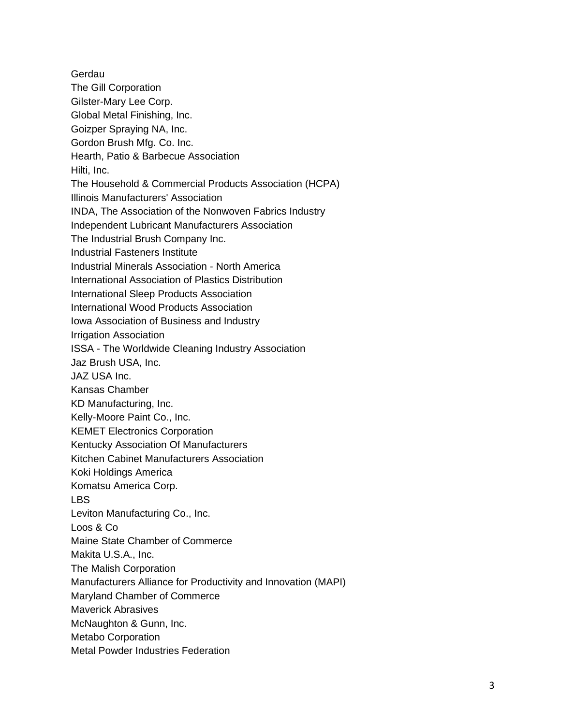**Gerdau** The Gill Corporation Gilster-Mary Lee Corp. Global Metal Finishing, Inc. Goizper Spraying NA, Inc. Gordon Brush Mfg. Co. Inc. Hearth, Patio & Barbecue Association Hilti, Inc. The Household & Commercial Products Association (HCPA) Illinois Manufacturers' Association INDA, The Association of the Nonwoven Fabrics Industry Independent Lubricant Manufacturers Association The Industrial Brush Company Inc. Industrial Fasteners Institute Industrial Minerals Association - North America International Association of Plastics Distribution International Sleep Products Association International Wood Products Association Iowa Association of Business and Industry Irrigation Association ISSA - The Worldwide Cleaning Industry Association Jaz Brush USA, Inc. JAZ USA Inc. Kansas Chamber KD Manufacturing, Inc. Kelly-Moore Paint Co., Inc. KEMET Electronics Corporation Kentucky Association Of Manufacturers Kitchen Cabinet Manufacturers Association Koki Holdings America Komatsu America Corp. LBS Leviton Manufacturing Co., Inc. Loos & Co Maine State Chamber of Commerce Makita U.S.A., Inc. The Malish Corporation Manufacturers Alliance for Productivity and Innovation (MAPI) Maryland Chamber of Commerce Maverick Abrasives McNaughton & Gunn, Inc. Metabo Corporation Metal Powder Industries Federation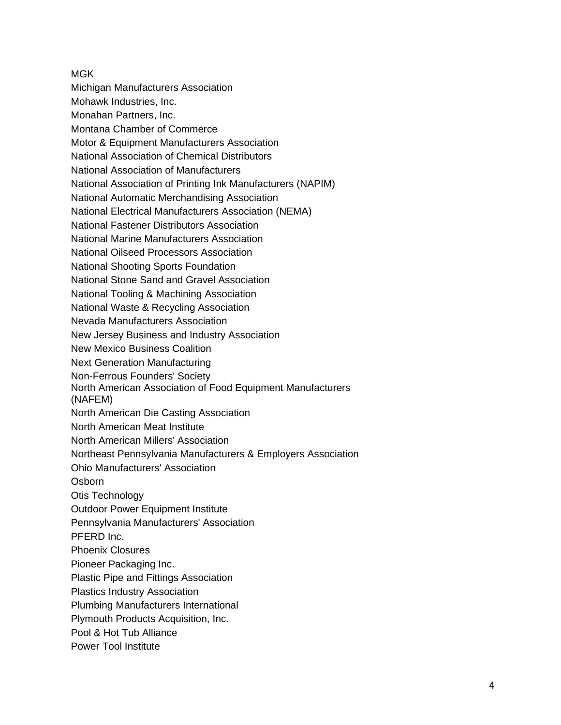MGK Michigan Manufacturers Association Mohawk Industries, Inc. Monahan Partners, Inc. Montana Chamber of Commerce Motor & Equipment Manufacturers Association National Association of Chemical Distributors National Association of Manufacturers National Association of Printing Ink Manufacturers (NAPIM) National Automatic Merchandising Association National Electrical Manufacturers Association (NEMA) National Fastener Distributors Association National Marine Manufacturers Association National Oilseed Processors Association National Shooting Sports Foundation National Stone Sand and Gravel Association National Tooling & Machining Association National Waste & Recycling Association Nevada Manufacturers Association New Jersey Business and Industry Association New Mexico Business Coalition Next Generation Manufacturing Non-Ferrous Founders' Society North American Association of Food Equipment Manufacturers (NAFEM) North American Die Casting Association North American Meat Institute North American Millers' Association Northeast Pennsylvania Manufacturers & Employers Association Ohio Manufacturers' Association **Osborn** Otis Technology Outdoor Power Equipment Institute Pennsylvania Manufacturers' Association PFERD Inc. Phoenix Closures Pioneer Packaging Inc. Plastic Pipe and Fittings Association Plastics Industry Association Plumbing Manufacturers International Plymouth Products Acquisition, Inc. Pool & Hot Tub Alliance

Power Tool Institute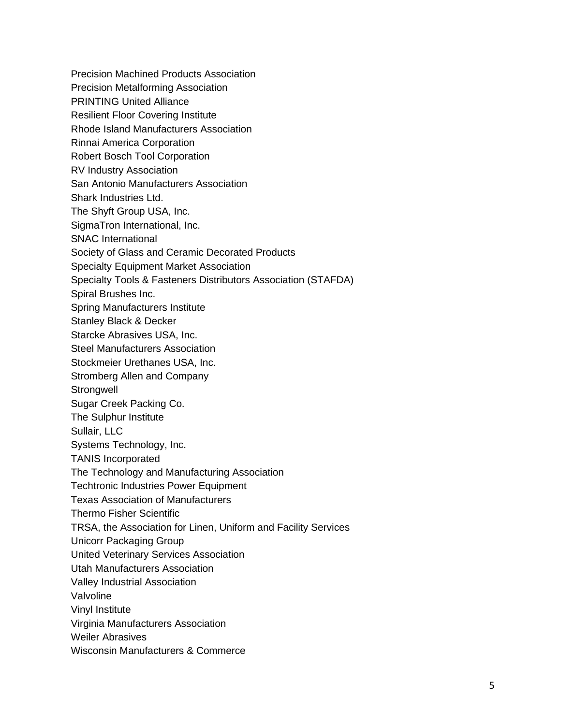Precision Machined Products Association Precision Metalforming Association PRINTING United Alliance Resilient Floor Covering Institute Rhode Island Manufacturers Association Rinnai America Corporation Robert Bosch Tool Corporation RV Industry Association San Antonio Manufacturers Association Shark Industries Ltd. The Shyft Group USA, Inc. SigmaTron International, Inc. SNAC International Society of Glass and Ceramic Decorated Products Specialty Equipment Market Association Specialty Tools & Fasteners Distributors Association (STAFDA) Spiral Brushes Inc. Spring Manufacturers Institute Stanley Black & Decker Starcke Abrasives USA, Inc. Steel Manufacturers Association Stockmeier Urethanes USA, Inc. Stromberg Allen and Company **Strongwell** Sugar Creek Packing Co. The Sulphur Institute Sullair, LLC Systems Technology, Inc. TANIS Incorporated The Technology and Manufacturing Association Techtronic Industries Power Equipment Texas Association of Manufacturers Thermo Fisher Scientific TRSA, the Association for Linen, Uniform and Facility Services Unicorr Packaging Group United Veterinary Services Association Utah Manufacturers Association Valley Industrial Association Valvoline Vinyl Institute Virginia Manufacturers Association Weiler Abrasives Wisconsin Manufacturers & Commerce